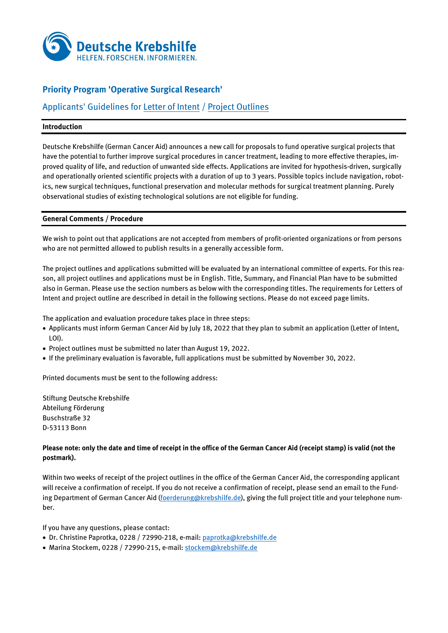

# **Priority Program 'Operative Surgical Research'**

# Applicants' Guidelines for Letter of Intent / Project Outlines

## **Introduction**

Deutsche Krebshilfe (German Cancer Aid) announces a new call for proposals to fund operative surgical projects that have the potential to further improve surgical procedures in cancer treatment, leading to more effective therapies, improved quality of life, and reduction of unwanted side effects. Applications are invited for hypothesis-driven, surgically and operationally oriented scientific projects with a duration of up to 3 years. Possible topics include navigation, robotics, new surgical techniques, functional preservation and molecular methods for surgical treatment planning. Purely observational studies of existing technological solutions are not eligible for funding.

## **General Comments / Procedure**

We wish to point out that applications are not accepted from members of profit-oriented organizations or from persons who are not permitted allowed to publish results in a generally accessible form.

The project outlines and applications submitted will be evaluated by an international committee of experts. For this reason, all project outlines and applications must be in English. Title, Summary, and Financial Plan have to be submitted also in German. Please use the section numbers as below with the corresponding titles. The requirements for Letters of Intent and project outline are described in detail in the following sections. Please do not exceed page limits.

The application and evaluation procedure takes place in three steps:

- Applicants must inform German Cancer Aid by July 18, 2022 that they plan to submit an application (Letter of Intent, LOI).
- Project outlines must be submitted no later than August 19, 2022.
- If the preliminary evaluation is favorable, full applications must be submitted by November 30, 2022.

Printed documents must be sent to the following address:

Stiftung Deutsche Krebshilfe Abteilung Förderung Buschstraße 32 D-53113 Bonn

## **Please note: only the date and time of receipt in the office of the German Cancer Aid (receipt stamp) is valid (not the postmark).**

Within two weeks of receipt of the project outlines in the office of the German Cancer Aid, the corresponding applicant will receive a confirmation of receipt. If you do not receive a confirmation of receipt, please send an email to the Fund-ing Department of German Cancer Aid [\(foerderung@krebshilfe.de\)](mailto:foerderung@krebshilfe.de), giving the full project title and your telephone number.

If you have any questions, please contact:

- Dr. Christine Paprotka, 0228 / 72990-218, e-mail: [paprotka@krebshilfe.de](mailto:paprotka@krebshilfe.de)
- Marina Stockem, 0228 / 72990-215, e-mail: [stockem@krebshilfe.de](mailto:stockem@krebshilfe.de)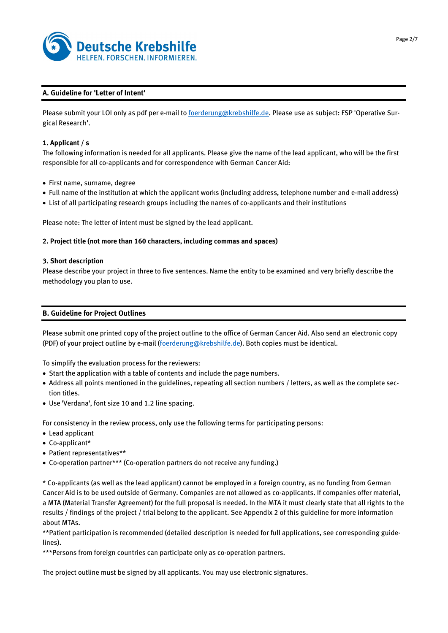

## **A. Guideline for 'Letter of Intent'**

Please submit your LOI only as pdf per e-mail t[o foerderung@krebshilfe.de.](mailto:foerderung@krebshilfe.de) Please use as subject: FSP 'Operative Surgical Research'.

## **1. Applicant / s**

The following information is needed for all applicants. Please give the name of the lead applicant, who will be the first responsible for all co-applicants and for correspondence with German Cancer Aid:

- First name, surname, degree
- Full name of the institution at which the applicant works (including address, telephone number and e-mail address)
- List of all participating research groups including the names of co-applicants and their institutions

Please note: The letter of intent must be signed by the lead applicant.

## **2. Project title (not more than 160 characters, including commas and spaces)**

## **3. Short description**

Please describe your project in three to five sentences. Name the entity to be examined and very briefly describe the methodology you plan to use.

## **B. Guideline for Project Outlines**

Please submit one printed copy of the project outline to the office of German Cancer Aid. Also send an electronic copy (PDF) of your project outline by e-mail [\(foerderung@krebshilfe.de\)](mailto:foerderung@krebshilfe.de). Both copies must be identical.

To simplify the evaluation process for the reviewers:

- Start the application with a table of contents and include the page numbers.
- Address all points mentioned in the guidelines, repeating all section numbers / letters, as well as the complete section titles.
- Use 'Verdana', font size 10 and 1.2 line spacing.

For consistency in the review process, only use the following terms for participating persons:

- Lead applicant
- Co-applicant\*
- Patient representatives\*\*
- Co-operation partner\*\*\* (Co-operation partners do not receive any funding.)

\* Co-applicants (as well as the lead applicant) cannot be employed in a foreign country, as no funding from German Cancer Aid is to be used outside of Germany. Companies are not allowed as co-applicants. If companies offer material, a MTA (Material Transfer Agreement) for the full proposal is needed. In the MTA it must clearly state that all rights to the results / findings of the project / trial belong to the applicant. See Appendix 2 of this guideline for more information about MTAs.

\*\*Patient participation is recommended (detailed description is needed for full applications, see corresponding guidelines).

\*\*\*Persons from foreign countries can participate only as co-operation partners.

The project outline must be signed by all applicants. You may use electronic signatures.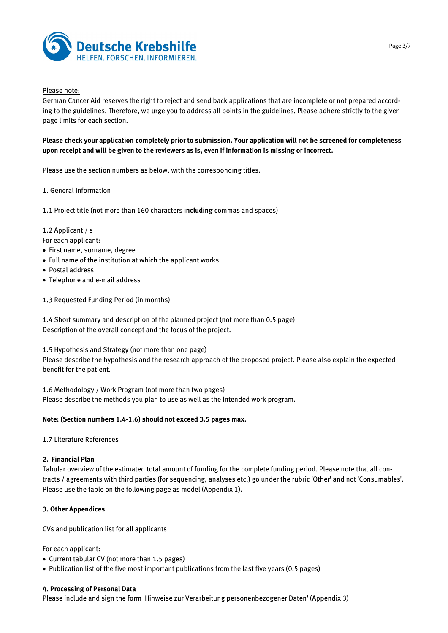

## Please note:

German Cancer Aid reserves the right to reject and send back applications that are incomplete or not prepared according to the guidelines. Therefore, we urge you to address all points in the guidelines. Please adhere strictly to the given page limits for each section.

**Please check your application completely prior to submission. Your application will not be screened for completeness upon receipt and will be given to the reviewers as is, even if information is missing or incorrect.**

Please use the section numbers as below, with the corresponding titles.

#### 1. General Information

1.1 Project title (not more than 160 characters **including** commas and spaces)

#### 1.2 Applicant / s

For each applicant:

- First name, surname, degree
- Full name of the institution at which the applicant works
- Postal address
- Telephone and e-mail address
- 1.3 Requested Funding Period (in months)

1.4 Short summary and description of the planned project (not more than 0.5 page) Description of the overall concept and the focus of the project.

1.5 Hypothesis and Strategy (not more than one page)

Please describe the hypothesis and the research approach of the proposed project. Please also explain the expected benefit for the patient.

1.6 Methodology / Work Program (not more than two pages) Please describe the methods you plan to use as well as the intended work program.

## **Note: (Section numbers 1.4-1.6) should not exceed 3.5 pages max.**

1.7 Literature References

## **2. Financial Plan**

Tabular overview of the estimated total amount of funding for the complete funding period. Please note that all contracts / agreements with third parties (for sequencing, analyses etc.) go under the rubric 'Other' and not 'Consumables'. Please use the table on the following page as model (Appendix 1).

## **3. Other Appendices**

CVs and publication list for all applicants

For each applicant:

- Current tabular CV (not more than 1.5 pages)
- Publication list of the five most important publications from the last five years (0.5 pages)

## **4. Processing of Personal Data**

Please include and sign the form 'Hinweise zur Verarbeitung personenbezogener Daten' (Appendix 3)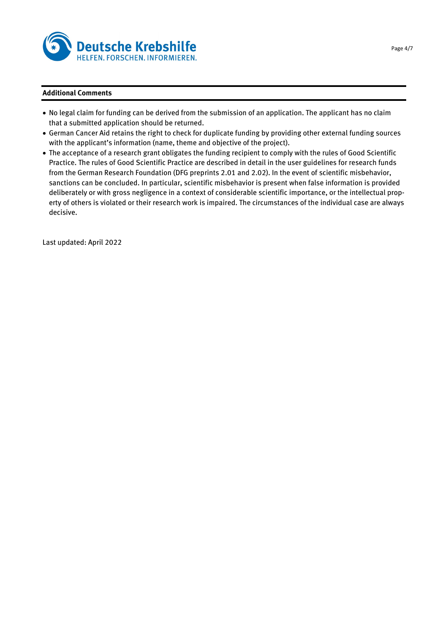

## **Additional Comments**

- No legal claim for funding can be derived from the submission of an application. The applicant has no claim that a submitted application should be returned.
- German Cancer Aid retains the right to check for duplicate funding by providing other external funding sources with the applicant's information (name, theme and objective of the project).
- The acceptance of a research grant obligates the funding recipient to comply with the rules of Good Scientific Practice. The rules of Good Scientific Practice are described in detail in the user guidelines for research funds from the German Research Foundation (DFG preprints 2.01 and 2.02). In the event of scientific misbehavior, sanctions can be concluded. In particular, scientific misbehavior is present when false information is provided deliberately or with gross negligence in a context of considerable scientific importance, or the intellectual property of others is violated or their research work is impaired. The circumstances of the individual case are always decisive.

Last updated: April 2022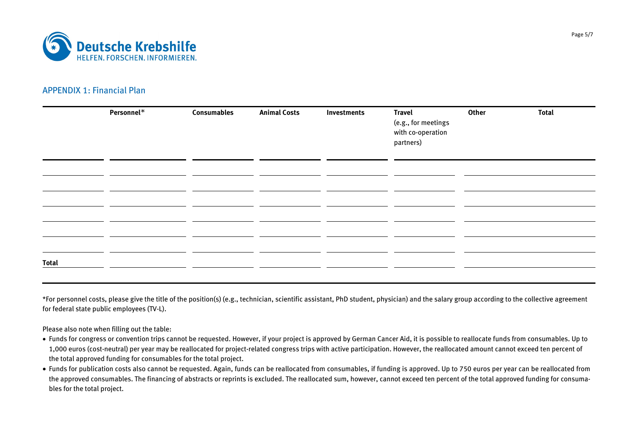

# APPENDIX 1: Financial Plan

|              | Personnel* | <b>Consumables</b> | <b>Animal Costs</b> | Investments | <b>Travel</b><br>(e.g., for meetings<br>with co-operation<br>partners) | <b>Other</b> | <b>Total</b> |
|--------------|------------|--------------------|---------------------|-------------|------------------------------------------------------------------------|--------------|--------------|
|              |            |                    |                     |             |                                                                        |              |              |
|              |            |                    |                     |             |                                                                        |              |              |
|              |            |                    |                     |             |                                                                        |              |              |
|              |            |                    |                     |             |                                                                        |              |              |
|              |            |                    |                     |             |                                                                        |              |              |
| <b>Total</b> |            |                    |                     |             |                                                                        |              |              |

\*For personnel costs, please give the title of the position(s) (e.g., technician, scientific assistant, PhD student, physician) and the salary group according to the collective agreement for federal state public employees (TV-L).

Please also note when filling out the table:

- Funds for congress or convention trips cannot be requested. However, if your project is approved by German Cancer Aid, it is possible to reallocate funds from consumables. Up to 1,000 euros (cost-neutral) per year may be reallocated for project-related congress trips with active participation. However, the reallocated amount cannot exceed ten percent of the total approved funding for consumables for the total project.
- Funds for publication costs also cannot be requested. Again, funds can be reallocated from consumables, if funding is approved. Up to 750 euros per year can be reallocated from the approved consumables. The financing of abstracts or reprints is excluded. The reallocated sum, however, cannot exceed ten percent of the total approved funding for consumables for the total project.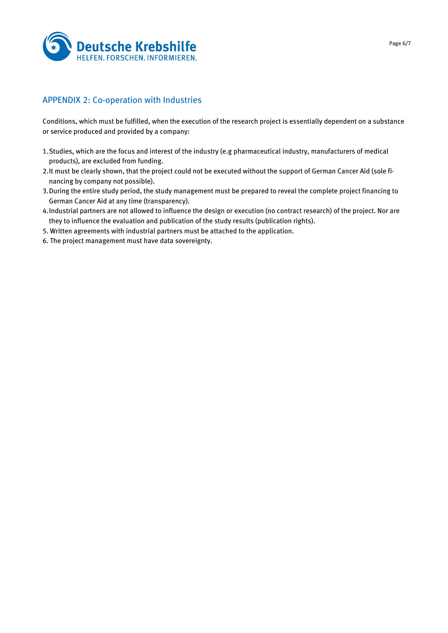

# APPENDIX 2: Co-operation with Industries

Conditions, which must be fulfilled, when the execution of the research project is essentially dependent on a substance or service produced and provided by a company:

- 1.Studies, which are the focus and interest of the industry (e.g pharmaceutical industry, manufacturers of medical products), are excluded from funding.
- 2.It must be clearly shown, that the project could not be executed without the support of German Cancer Aid (sole financing by company not possible).
- 3.During the entire study period, the study management must be prepared to reveal the complete project financing to German Cancer Aid at any time (transparency).
- 4.Industrial partners are not allowed to influence the design or execution (no contract research) of the project. Nor are they to influence the evaluation and publication of the study results (publication rights).
- 5. Written agreements with industrial partners must be attached to the application.
- 6. The project management must have data sovereignty.